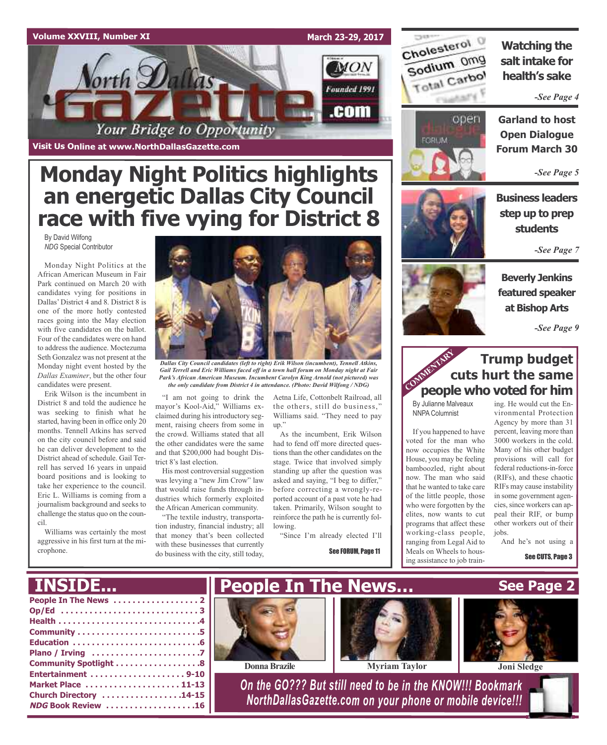#### **Volume XXVIII, Number XI**

**March 23-29, 2017 MON** Vorth Dallas Founded 1991 .com Your Bridge to Opportunity

**Visit Us Online at www.NorthDallasGazette.com**

# **Monday Night Politics highlights an energetic Dallas City Council race with five vying for District 8**

By David Wilfong *NDG* Special Contributor

Monday Night Politics at the African American Museum in Fair Park continued on March 20 with candidates vying for positions in Dallas' District 4 and 8. District 8 is one of the more hotly contested races going into the May election with five candidates on the ballot. Four of the candidates were on hand to address the audience. Moctezuma Seth Gonzalez was not present at the Monday night event hosted by the *Dallas Examiner*, but the other four candidates were present.

Erik Wilson is the incumbent in District 8 and told the audience he was seeking to finish what he started, having been in office only 20 months. Tennell Atkins has served on the city council before and said he can deliver development to the District ahead of schedule. Gail Terrell has served 16 years in unpaid board positions and is looking to take her experience to the council. Eric L. Williams is coming from a journalism background and seeks to challenge the status quo on the council.

Williams was certainly the most aggressive in his first turn at the microphone.



*Dallas City Council candidates (left to right) Erik Wilson (incumbent), Tennell Atkins, Gail Terrell and Eric Williams faced off in a town hall forum on Monday night at Fair Park's African American Museum. Incumbent Carolyn King Arnold (not pictured) was the only candidate from District 4 in attendance. (Photo: David Wilfong / NDG)*

"I am not going to drink the mayor's Kool-Aid," Williams exclaimed during his introductory segment, raising cheers from some in the crowd. Williams stated that all the other candidates were the same and that \$200,000 had bought District 8's last election.

His most controversial suggestion was levying a "new Jim Crow" law that would raise funds through industries which formerly exploited the African American community.

"The textile industry, transportation industry, financial industry; all that money that's been collected with these businesses that currently do business with the city, still today,

Aetna Life, Cottonbelt Railroad, all the others, still do business," Williams said. "They need to pay up."

As the incumbent, Erik Wilson had to fend off more directed questions than the other candidates on the stage. Twice that involved simply standing up after the question was asked and saying, "I beg to differ," before correcting a wrongly-reported account of a past vote he had taken. Primarily, Wilson sought to reinforce the path he is currently following.

"Since I'm already elected I'll

See FORUM, Page 11



### **Watching the salt intake for health's sake**

*-See Page 4*



**Garland to host Open Dialogue Forum March 30**

*-See Page 5*

**Business leaders step up to prep students**

*-See Page 7*



**Beverly Jenkins featured speaker at Bishop Arts**

*-See Page 9*

### **Trump budget cuts hurt the same people who voted for him** COMMENTARY COMMENT

By Julianne Malveaux NNPA Columnist

If you happened to have voted for the man who now occupies the White House, you may be feeling bamboozled, right about now. The man who said that he wanted to take care of the little people, those who were forgotten by the elites, now wants to cut programs that affect these working-class people, ranging from Legal Aid to Meals on Wheels to housing assistance to job train-

ing. He would cut the Environmental Protection Agency by more than 31 percent, leaving more than 3000 workers in the cold. Many of his other budget provisions will call for federal reductions-in-force (RIFs), and these chaotic RIFs may cause instability in some government agencies, since workers can appeal their RIF, or bump other workers out of their jobs.

And he's not using a

See CUTS, Page 3

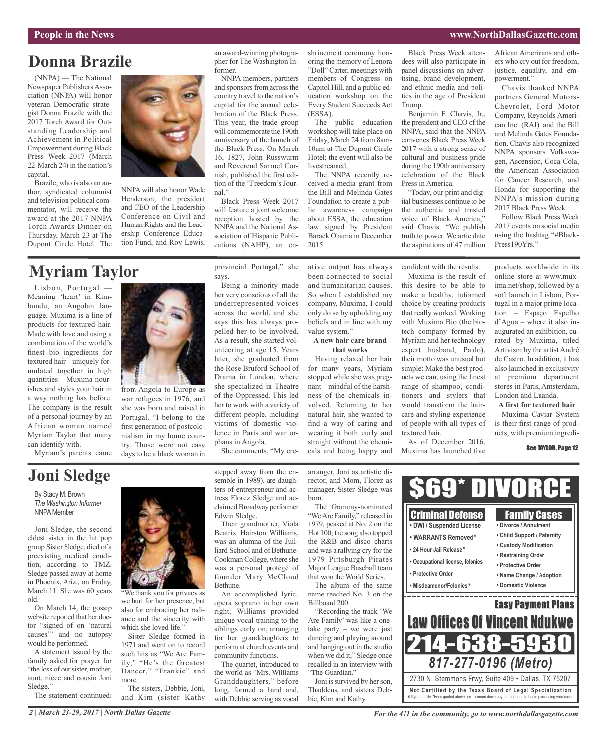#### **People in the News www.NorthDallasGazette.com**

## **Donna Brazile**

(NNPA) — The National Newspaper Publishers Association (NNPA) will honor veteran Democratic strategist Donna Brazile with the 2017 Torch Award for Outstanding Leadership and Achievement in Political Empowerment during Black Press Week 2017 (March 22-March 24) in the nation's capital.

Brazile, who is also an author, syndicated columnist and television political commentator, will receive the award at the 2017 NNPA Torch Awards Dinner on Thursday, March 23 at The Dupont Circle Hotel. The



NNPA will also honor Wade Henderson, the president and CEO of the Leadership Conference on Civil and Human Rights and the Leadership Conference Education Fund, and Roy Lewis,

### **Myriam Taylor**

Lisbon, Portugal — Meaning 'heart' in Kimbundu, an Angolan language, Muxima is a line of products for textured hair. Made with love and using a combination of the world's finest bio ingredients for textured hair – uniquely formulated together in high quantities – Muxima nourishes and styles your hair in a way nothing has before. The company is the result of a personal journey by an African woman named Myriam Taylor that many can identify with.

Myriam's parents came



from Angola to Europe as war refugees in 1976, and she was born and raised in Portugal. "I belong to the first generation of postcolonialism in my home country. Those were not easy days to be a black woman in

"We thank you for privacy as we hurt for her presence, but also for embracing her radiance and the sincerity with which she loved life."

Sister Sledge formed in 1971 and went on to record such hits as "We Are Family," "He's the Greatest Dancer," "Frankie" and

The sisters, Debbie, Joni, and Kim (sister Kathy an award-winning photographer for The Washington Informer.

NNPA members, partners and sponsors from across the country travel to the nation's capital for the annual celebration of the Black Press. This year, the trade group will commemorate the 190th anniversary of the launch of the Black Press. On March 16, 1827, John Russwurm and Reverend Samuel Cornish, published the first edition of the "Freedom's Journal."

Black Press Week 2017 will feature a joint welcome reception hosted by the NNPA and the National Association of Hispanic Publications (NAHP), an en-

provincial Portugal," she

Being a minority made her very conscious of all the underrepresented voices across the world, and she says this has always propelled her to be involved. As a result, she started volunteering at age 15. Years later, she graduated from the Rose Bruford School of Drama in London, where she specialized in Theatre of the Oppressed. This led

says.

shrinement ceremony honoring the memory of Lenora "Doll" Carter, meetings with members of Congress on Capitol Hill, and a public education workshop on the Every Student Succeeds Act (ESSA).

The public education workshop will take place on Friday, March 24 from 8am-10am at The Dupont Circle Hotel; the event will also be livestreamed. The NNPA recently re-

ceived a media grant from the Bill and Melinda Gates Foundation to create a public awareness campaign about ESSA, the education law signed by President Barack Obama in December 2015.

ative output has always been connected to social and humanitarian causes. So when I established my company, Muxima, I could only do so by upholding my beliefs and in line with my

**A new hair care brand that works** Having relaxed her hair for many years, Myriam stopped while she was pregnant – mindful of the harshness of the chemicals in-

Black Press Week attendees will also participate in panel discussions on advertising, brand development, and ethnic media and politics in the age of President Trump.

Benjamin F. Chavis, Jr., the president and CEO of the NNPA, said that the NNPA convenes Black Press Week 2017 with a strong sense of cultural and business pride during the 190th anniversary celebration of the Black Press in America.

"Today, our print and digital businesses continue to be the authentic and trusted voice of Black America,' said Chavis. "We publish truth to power. We articulate the aspirations of 47 million

African Americans and others who cry out for freedom, justice, equality, and empowerment."

Chavis thanked NNPA partners General Motors-Chevrolet, Ford Motor Company, Reynolds American Inc. (RAI), and the Bill and Melinda Gates Foundation. Chavis also recognized NNPA sponsors Volkswagen, Ascension, Coca-Cola, the American Association for Cancer Research, and Honda for supporting the NNPA's mission during 2017 Black Press Week.

Follow Black Press Week 2017 events on social media using the hashtag "#Black-Press190Yrs."

confident with the results.

Muxima is the result of this desire to be able to make a healthy, informed choice by creating products that really worked. Working with Muxima Bio (the biotech company formed by Myriam and her technology expert husband, Paulo), their motto was unusual but simple: Make the best products we can, using the finest range of shampoo, conditioners and stylers that would transform the haircare and styling experience of people with all types of textured hair.

As of December 2016, Muxima has launched five

products worldwide in its online store at www.muxima.net/shop, followed by a soft launch in Lisbon, Portugal in a major prime location – Espaço Espelho d'Agua – where it also inaugurated an exhibition, curated by Muxima, titled Artivism by the artist André de Castro. In addition, it has also launched in exclusivity at premium department stores in Paris, Amsterdam, London and Luanda.

**A first for textured hair** Muxima Caviar System is their first range of products, with premium ingredi-

#### See TAYLOR, Page 12

# **Joni Sledge**

By Stacy M. Brown *The Washington Informer* **NNPA** Member

Joni Sledge, the second eldest sister in the hit pop group Sister Sledge, died of a preexisting medical condition, according to TMZ. Sledge passed away at home in Phoenix, Ariz., on Friday, March 11. She was 60 years old.

On March 14, the gossip website reported that her doctor "signed of on 'natural causes" and no autopsy would be performed.

A statement issued by the family asked for prayer for "the loss of our sister, mother, aunt, niece and cousin Joni Sledge."

The statement continued:

phans in Angola. She comments, "My crestepped away from the ensemble in 1989), are daughters of entrepreneur and actress Florez Sledge and acclaimed Broadway performer

Their grandmother, Viola Beatrix Hairston Williams, was an alumna of the Juilliard School and of Bethune-Cookman College, where she was a personal protégé of founder Mary McCloud Bethune.

opera soprano in her own right, Williams provided unique vocal training to the siblings early on, arranging for her granddaughters to perform at church events and community functions.

the world as "Mrs. Williams Granddaughters," before long, formed a band and, with Debbie serving as vocal rector, and Mom, Florez as manager, Sister Sledge was born.

The Grammy-nominated We Are Family," released in 1979, peaked at No. 2 on the Hot 100; the song also topped the R&B and disco charts and was a rallying cry for the 1979 Pittsburgh Pirates Major League Baseball team that won the World Series.

The album of the same name reached No. 3 on the Billboard 200.

Are Family' was like a onetake party – we were just dancing and playing around and hanging out in the studio when we did it," Sledge once recalled in an interview with "The Guardian."

Joni is survived by her son, Thaddeus, and sisters Debbie, Kim and Kathy.

\$69\* DIVORCE Criminal Defense Family Cases **• DWI / Suspended License • Divorce / Annulment • Child Support / Paternity • WARRANTS Removed ¥ • Custody Modification • 24 Hour Jail Release ¥ • Restraining Order • Occupational license, felonies • Protective Order • Protective Order • Name Change / Adoption • Misdeamenor/Felonies ¥ • Domestic Violence** and the control of the control of the control of the control of the control of \_\_\_\_\_\_\_\_\_\_\_\_ Easy Payment Plans "Recording the track 'We Law Offices Of Vincent Ndukwe 214-638-5930 *817-277-0196 (Metro)* 2730 N. Stemmons Frwy, Suite 409 • Dallas, TX 75207

**Not Ce rtified by the Te x a s Boa rd of Lega l Spe c ia l i za tion** ¥ If you qualify. \*Fees quoted above are minimum down payment needed to begin processing your case.

*2 | March 23-29, 2017 | North Dallas Gazette*

more.

*For the 411 in the community, go to www.northdallasgazette.com*

Edwin Sledge.

An accomplished lyric-

The quartet, introduced to

her to work with a variety of different people, including victims of domestic violence in Paris and war orvolved. Returning to her

value system."

straight without the chemicals and being happy and

natural hair, she wanted to find a way of caring and wearing it both curly and

arranger, Joni as artistic di-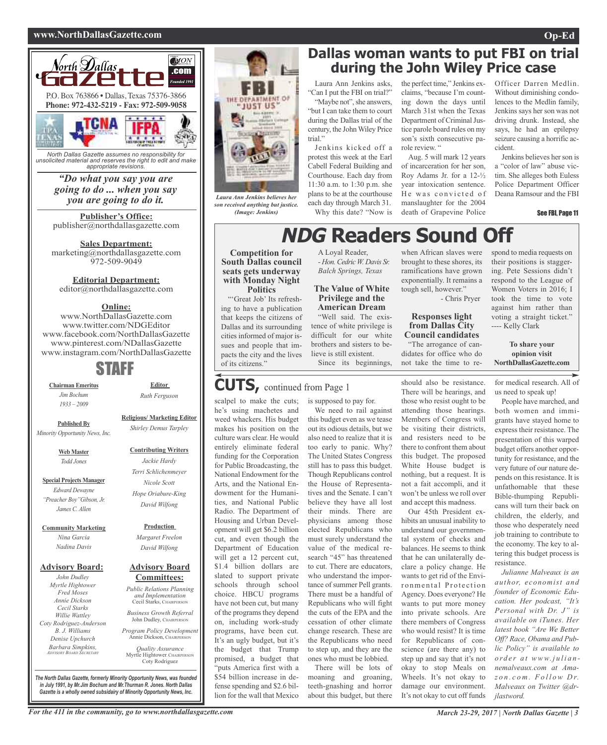#### **www.NorthDallasGazette.com Op-Ed**



*North Dallas Gazette assumes no responsibility for unsolicited material and reserves the right to edit and make appropriate revisions.*

#### *"Do what you say you are going to do ... when you say you are going to do it.*

**Publisher's Office:** publisher@northdallasgazette.com

**Sales Department:** marketing@northdallasgazette.com 972-509-9049

### **Editorial Department:**

editor@northdallasgazette.com

#### **Online:**

www.NorthDallasGazette.com www.twitter.com/NDGEditor www.facebook.com/NorthDallasGazette www.pinterest.com/NDallasGazette www.instagram.com/NorthDallasGazette

### STAFF

**Chairman Emeritus** *Jim Bochum 1933 – 2009*

**Editor** *Ruth Ferguson*

**Religious/ Marketing Editor** *Shirley Demus Tarpley*

> **Contributing Writers** *Jackie Hardy Terri Schlichenmeyer Nicole Scott Hope Oriabure-King David Wilfong*

**Published By** *Minority Opportunity News, Inc.*

> **Web Master** *Todd Jones*

**Special Projects Manager** *Edward Dewayne "Preacher Boy"Gibson, Jr. James C. Allen*

**Community Marketing** *Nina Garcia Nadina Davis*

#### **Advisory Board:**

*John Dudley Myrtle Hightower Fred Moses Annie Dickson Cecil Starks Willie Wattley Coty Rodriguez-Anderson B. J. Williams Denise Upchurch Barbara Simpkins, ADVISORY BOARD SECRETARY*

**Advisory Board** *Margaret Freelon David Wilfong*

**Production**

### **Committees:**

*Public Relations Planning and Implementation* Cecil Starks, CHAIRPERSON *Business Growth Referral* John Dudley, CHAIRPERSON

*Program Policy Development* Annie Dickson, CHAIRPERS

*Quality Assurance* Myrtle Hightower, CHAIRPERSON Coty Rodriguez

*The North Dallas Gazette, formerly Minority Opportunity News, was founded in July 1991, by Mr.Jim Bochum and Mr.Thurman R. Jones. North Dallas Gazette is a wholly owned subsidairy of Minority Opportunity News, Inc.*



*Laura Ann Jenkins believes her son received anything but justice. (Image: Jenkins)*

### **Dallas woman wants to put FBI on trial during the John Wiley Price case**

Laura Ann Jenkins asks, "Can I put the FBI on trial?" "Maybe not", she answers,

"but I can take them to court during the Dallas trial of the century, the John Wiley Price trial."

Jenkins kicked off a protest this week at the Earl Cabell Federal Building and Courthouse. Each day from 11:30 a.m. to 1:30 p.m. she plans to be at the courthouse each day through March 31. Why this date? "Now is

> A Loyal Reader, *- Hon.Cedric W. Davis Sr. Balch Springs, Texas*

**The Value of White Privilege and the American Dream** "Well said. The existence of white privilege is difficult for our white brothers and sisters to believe is still existent.

Since its beginnings,

the perfect time," Jenkins exclaims, "because I'm counting down the days until March 31st when the Texas Department of Criminal Justice parole board rules on my son's sixth consecutive parole review. "

Aug. 5 will mark 12 years of incarceration for her son, Roy Adams Jr. for a 12-½ year intoxication sentence. He was convicted of manslaughter for the 2004 death of Grapevine Police

Officer Darren Medlin. Without diminishing condolences to the Medlin family, Jenkins says her son was not driving drunk. Instead, she says, he had an epilepsy seizure causing a horrific accident.

Jenkins believes her son is a "color of law" abuse victim. She alleges both Euless Police Department Officer Deana Ramsour and the FBI

#### See FBI, Page 11

# **NDG** Readers Sound

**Competition for South Dallas council seats gets underway with Monday Night Politics**

"'Great Job' Its refreshing to have a publication that keeps the citizens of Dallas and its surrounding cities informed of major issues and people that impacts the city and the lives of its citizens."

### **CUTS,** continued from Page <sup>1</sup>

scalpel to make the cuts; he's using machetes and weed whackers. His budget makes his position on the culture wars clear. He would entirely eliminate federal funding for the Corporation for Public Broadcasting, the National Endowment for the Arts, and the National Endowment for the Humanities, and National Public Radio. The Department of Housing and Urban Development will get \$6.2 billion cut, and even though the Department of Education will get a 12 percent cut, \$1.4 billion dollars are slated to support private schools through school choice. HBCU programs have not been cut, but many of the programs they depend on, including work-study programs, have been cut. It's an ugly budget, but it's the budget that Trump promised, a budget that "puts America first with a \$54 billion increase in defense spending and \$2.6 billion for the wall that Mexico

is supposed to pay for.

We need to rail against this budget even as we tease out its odious details, but we also need to realize that it is too early to panic. Why? The United States Congress still has to pass this budget. Though Republicans control the House of Representatives and the Senate. I can't believe they have all lost their minds. There are physicians among those elected Republicans who must surely understand the value of the medical research "45" has threatened to cut. There are educators, who understand the importance of summer Pell grants. There must be a handful of Republicans who will fight the cuts of the EPA and the cessation of other climate change research. These are the Republicans who need to step up, and they are the ones who must be lobbied.

There will be lots of moaning and groaning, teeth-gnashing and horror about this budget, but there

when African slaves were brought to these shores, its ramifications have grown exponentially. It remains a tough sell, however."

- Chris Pryer

#### **Responses light from Dallas City Council candidates**

"The arrogance of candidates for office who do not take the time to re-

should also be resistance. There will be hearings, and those who resist ought to be attending those hearings. Members of Congress will be visiting their districts, and resisters need to be there to confront them about this budget. The proposed White House budget is nothing, but a request. It is not a fait accompli, and it won't be unless we roll over and accept this madness.

Our 45th President exhibits an unusual inability to understand our governmental system of checks and balances. He seems to think that he can unilaterally declare a policy change. He wants to get rid of the Environmental Protection Agency. Does everyone? He wants to put more money into private schools. Are there members of Congress who would resist? It is time for Republicans of conscience (are there any) to step up and say that it's not okay to stop Meals on Wheels. It's not okay to damage our environment. It's not okay to cut off funds

spond to media requests on their positions is staggering. Pete Sessions didn't respond to the League of Women Voters in 2016; I took the time to vote against him rather than voting a straight ticket." ---- Kelly Clark

**To share your opinion visit NorthDallasGazette.com**

for medical research. All of us need to speak up!

People have marched, and both women and immigrants have stayed home to express their resistance. The presentation of this warped budget offers another opportunity for resistance, and the very future of our nature depends on this resistance. It is unfathomable that these Bible-thumping Republicans will turn their back on children, the elderly, and those who desperately need job training to contribute to the economy. The key to altering this budget process is resistance.

*Julianne Malveaux is an author, economist and founder of Economic Education. Her podcast, "It's Personal with Dr. J" is available on iTunes. Her latest book "Are We Better Off? Race, Obama and Public Policy" is available to o rd e r a t www. j u l i a n nemalveaux.com at Amaz o n . c o m . F o l l ow D r. Malveaux on Twitter @drjlastword.*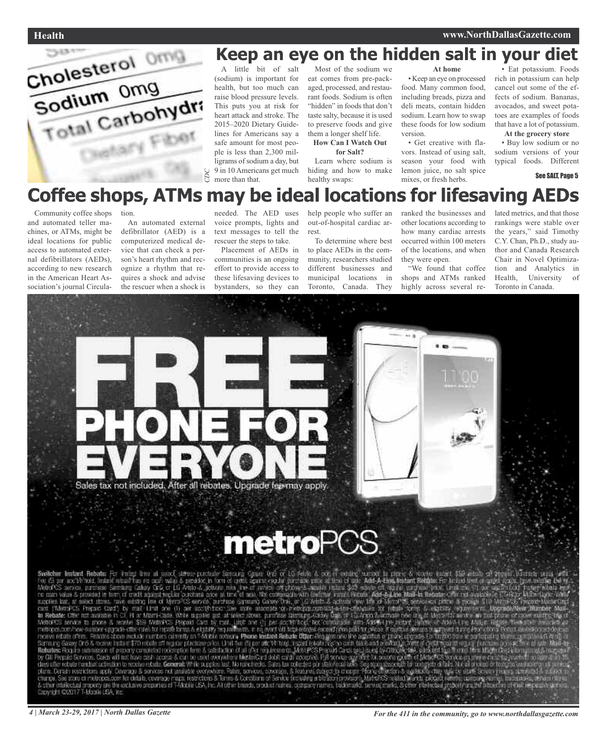

# **Keep an eye on the hidden salt in your diet**

A little bit of salt (sodium) is important for health, but too much can raise blood pressure levels. This puts you at risk for heart attack and stroke. The 2015–2020 Dietary Guidelines for Americans say a safe amount for most people is less than 2,300 milligrams of sodium a day, but 9 in 10 Americans get much more than that.

Most of the sodium we eat comes from pre-packaged, processed, and restaurant foods. Sodium is often "hidden" in foods that don't taste salty, because it is used to preserve foods and give them a longer shelf life. **How Can I Watch Out**

**for Salt?**

Learn where sodium is hiding and how to make healthy swaps:

#### **At home**

• Keep an eye on processed food. Many common food, including breads, pizza and deli meats, contain hidden sodium. Learn how to swap these foods for low sodium version.

• Get creative with flavors. Instead of using salt, season your food with lemon juice, no salt spice mixes, or fresh herbs.

• Eat potassium. Foods rich in potassium can help cancel out some of the effects of sodium. Bananas, avocados, and sweet potatoes are examples of foods that have a lot of potassium.

**At the grocery store**

• Buy low sodium or no sodium versions of your typical foods. Different

#### See SALT, Page 5

# **Coffee shops, ATMs may be ideal locations for lifesaving AEDs**

Community coffee shops and automated teller machines, or ATMs, might be ideal locations for public access to automated external defibrillators (AEDs), according to new research in the American Heart Association's journal Circula-

tion. An automated external defibrillator (AED) is a computerized medical device that can check a person's heart rhythm and recognize a rhythm that requires a shock and advise the rescuer when a shock is

needed. The AED uses voice prompts, lights and text messages to tell the rescuer the steps to take.

Placement of AEDs in communities is an ongoing effort to provide access to these lifesaving devices to bystanders, so they can

help people who suffer an out-of-hospital cardiac arrest. To determine where best

to place AEDs in the community, researchers studied different businesses and municipal locations in Toronto, Canada. They

ranked the businesses and other locations according to how many cardiac arrests occurred within 100 meters of the locations, and when they were open.

"We found that coffee shops and ATMs ranked highly across several related metrics, and that those rankings were stable over the years," said Timothy C.Y. Chan, Ph.D., study author and Canada Research Chair in Novel Optimization and Analytics in Health, University of Toronto in Canada.



# **metroPCS**

Switcher Instant Rebate For the United Street Consequently from the European CP of LG Asia A, cost in costing track is Relay to the Consequent of the Asia A cost in the Consequent of the Asia A cost in the Consequent of t Copyright (20017 T-Mobile LSA, inc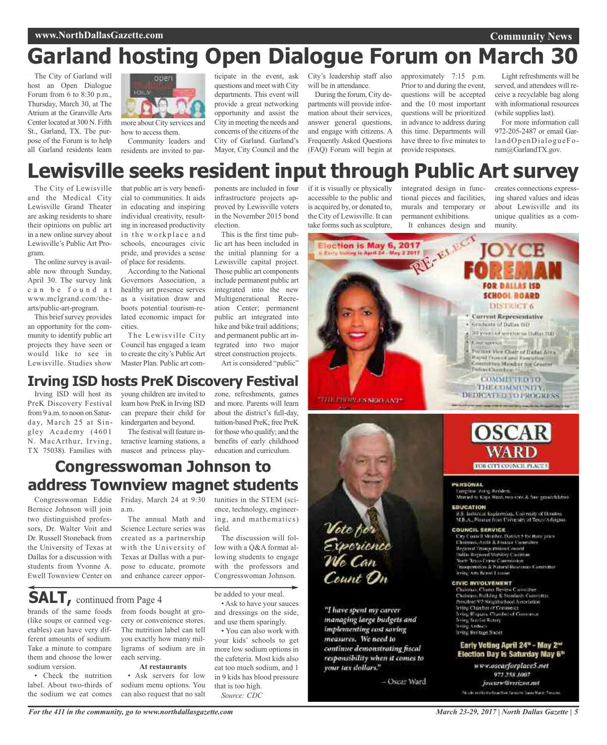#### **Community News**

# **Garland hosting Open Dialogue Forum on March 30**

The City of Garland will host an Open Dialogue Forum from 6 to 8:30 p.m., Thursday, March 30, at The Atrium at the Granville Arts Center located at 300 N. Fifth St., Garland, TX. The purpose of the Forum is to help all Garland residents learn



how to access them. Community leaders and residents are invited to participate in the event, ask questions and meet with City departments. This event will provide a great networking opportunity and assist the City in meeting the needs and concerns of the citizens of the City of Garland. Garland's Mayor, City Council and the

City's leadership staff also will be in attendance.

During the forum, City departments will provide information about their services, answer general questions, and engage with citizens. A Frequently Asked Questions (FAQ) Forum will begin at

approximately 7:15 p.m. Prior to and during the event, questions will be accepted and the 10 most important questions will be prioritized in advance to address during this time. Departments will have three to five minutes to provide responses.

Light refreshments will be served, and attendees will receive a recyclable bag along with informational resources (while supplies last).

For more information call 972-205-2487 or email GarlandOpenDialogueForum@GarlandTX.gov.

# **Lewisville seeks resident input through Public Art survey**

The City of Lewisville and the Medical City Lewisville Grand Theater are asking residents to share their opinions on public art in a new online survey about Lewisville's Public Art Program.

The online survey is available now through Sunday, April 30. The survey link c a n b e f o u n d a t www.mclgrand.com/thearts/public-art-program.

This brief survey provides an opportunity for the community to identify public art projects they have seen or would like to see in Lewisville. Studies show

Irving ISD will host its PreK Discovery Festival from 9 a.m. to noon on Saturday, March 25 at Singley Academy (4601 N. MacArthur, Irving, TX 75038). Families with that public art is very beneficial to communities. It aids in educating and inspiring individual creativity, resulting in increased productivity in the workplace and schools, encourages civic pride, and provides a sense of place for residents.

According to the National Governors Association, a healthy art presence serves as a visitation draw and boots potential tourism-related economic impact for cities.

The Lewisville City Council has engaged a team to create the city's PublicArt Master Plan. Public art com-

young children are invited to learn how PreK in Irving ISD can prepare their child for kindergarten and beyond. The festival will feature interactive learning stations, a mascot and princess play-

**Congresswoman Johnson to**

**address Townview magnet students**

**Irving ISD hosts PreK Discovery Festival**

ponents are included in four infrastructure projects approved by Lewisville voters in the November 2015 bond election.

This is the first time public art has been included in the initial planning for a Lewisville capital project. Those public art components include permanent public art integrated into the new Multigenerational Recreation Center; permanent public art integrated into hike and bike trail additions; and permanent public art integrated into two major street construction projects. Art is considered "public"

zone, refreshments, games and more. Parents will learn about the district's full-day, tuition-based PreK; free PreK for those who qualify; and the benefits of early childhood education and curriculum.

#### if it is visually or physically accessible to the public and is acquired by, or donated to, the City of Lewisville. It can take forms such as sculpture,

integrated design in functional pieces and facilities, murals and temporary or permanent exhibitions.

creates connections expressing shared values and ideas about Lewisville and its unique qualities as a community.



Vote for<br>Experience Count On

"I have spent my career managing large budgets and implementing cost soving measures. We need to continue demonstrating fiscal responsibility when it comes to your tax dollars."

- Oscar Ward



#### PERSONAL

Longitos (reing Redden).<br>Married to Kays Want, two specific four grassichilates: EDUCATION 35. Informal Engineering, University of Houston.<br>M.B.A., Pinnee from University of Texas Adiagon.

COUNCIL SERVICE City Coutell Monber, Datrict 5 for these years<br>Chairmen, Audit & Finance Committee **Tesional Prince mation Council**<br>Stallas Regional Mobility Coultiner North Taxos Crime Commission<br>Prospectation & Natural Mostumers Contrainer

#### Irving Arts Beard Listand

#### **CIVIC INVOLVEMENT**

Chainnas, Chanes Review Cannaillee<br>Chainnes, Beilding & Steedards Committee<br>President VI! Neighborboot Association **Irring Charter of Commerce**<br>A ring (Flapane Charter of Commerce **Doing Sunder Rotury**<br>Texting Anthucs frring Heritage Studet

#### Early Voting April 24<sup>u</sup> - May 2<sup>ut</sup> Election Day is Saturday May 6"

www.oscarforplace5.net 972.258.1007 Josenry/Tverizon.net Not also in the marketing West Consistent Serve Making The color

Congresswoman Eddie Bernice Johnson will join two distinguished professors, Dr. Walter Voit and Dr. Russell Stoneback from Friday, March 24 at 9:30 a.m. The annual Math and Science Lecture series was

the University of Texas at Dallas for a discussion with students from Yvonne A. Ewell Townview Center on created as a partnership with the University of Texas at Dallas with a purpose to educate, promote and enhance career oppor-

brands of the same foods **SALT,** continued from Page <sup>4</sup>

(like soups or canned vegetables) can have very different amounts of sodium. Take a minute to compare them and choose the lower sodium version.

Check the nutrition label. About two-thirds of the sodium we eat comes

from foods bought at grocery or convenience stores.

The nutrition label can tell you exactly how many milligrams of sodium are in each serving.

#### **At restaurants**

Ask servers for low sodium menu options. You can also request that no salt

*For the 411 in the community, go to www.northdallasgazette.com*

low with a Q&A format allowing students to engage with the professors and

The discussion will fol-

tunities in the STEM (science, technology, engineering, and mathematics)

field.

be added to your meal.

Congresswoman Johnson.

• Ask to have your sauces and dressings on the side, and use them sparingly.

• You can also work with your kids' schools to get more low sodium options in the cafeteria. Most kids also eat too much sodium, and 1 in 9 kids has blood pressure that is too high. *Source: CDC*

*March 23-29, 2017 | North Dallas Gazette | 5*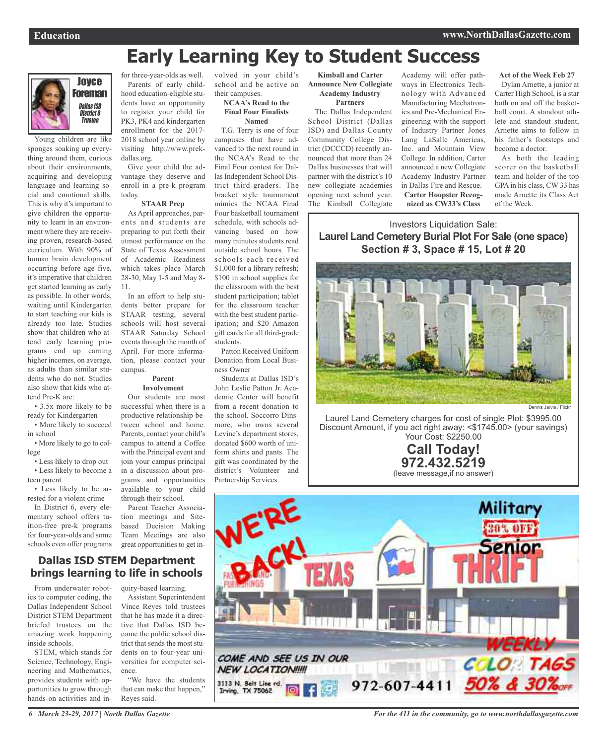# **Early Learning Key to Student Success**



Young children are like sponges soaking up everything around them, curious about their environments, acquiring and developing language and learning social and emotional skills. This is why it's important to give children the opportunity to learn in an environment where they are receiving proven, research-based curriculum. With 90% of human brain development occurring before age five, it's imperative that children get started learning as early as possible. In other words, waiting until Kindergarten to start teaching our kids is already too late. Studies show that children who attend early learning programs end up earning higher incomes, on average, as adults than similar students who do not. Studies also show that kids who attend Pre-K are:

• 3.5x more likely to be ready for Kindergarten

• More likely to succeed in school

• More likely to go to college

• Less likely to drop out

• Less likely to become a teen parent

• Less likely to be arrested for a violent crime In District 6, every ele-

mentary school offers tuition-free pre-k programs for four-year-olds and some schools even offer programs

for three-year-olds as well. Parents of early childhood education-eligible students have an opportunity to register your child for PK3, PK4 and kindergarten enrollment for the 2017- 2018 school year online by visiting http://www.prek-

dallas.org.

Give your child the advantage they deserve and enroll in a pre-k program today.

#### **STAAR Prep**

As April approaches, parents and students are preparing to put forth their utmost performance on the State of Texas Assessment of Academic Readiness which takes place March 28-30, May 1-5 and May 8- 11.

In an effort to help students better prepare for STAAR testing, several schools will host several STAAR Saturday School events through the month of April. For more information, please contact your campus.

#### **Parent Involvement**

Our students are most successful when there is a productive relationship between school and home. Parents, contact your child's campus to attend a Coffee with the Principal event and join your campus principal in a discussion about programs and opportunities available to your child through their school.

Parent Teacher Association meetings and Sitebased Decision Making Team Meetings are also great opportunities to get in-

### **Dallas ISD STEM Department brings learning to life in schools**

From underwater robotics to computer coding, the Dallas Independent School District STEM Department briefed trustees on the amazing work happening inside schools.

STEM, which stands for Science, Technology, Engineering and Mathematics, provides students with opportunities to grow through hands-on activities and inquiry-based learning.

Assistant Superintendent Vince Reyes told trustees that he has made it a directive that Dallas ISD become the public school district that sends the most students on to four-year universities for computer science.

"We have the students that can make that happen," Reyes said.

volved in your child's school and be active on their campuses.

#### **NCAA's Read to the Final Four Finalists Named**

T.G. Terry is one of four campuses that have advanced to the next round in the NCAA's Read to the Final Four contest for Dallas Independent School District third-graders. The bracket style tournament mimics the NCAA Final Four basketball tournament schedule, with schools advancing based on how many minutes students read outside school hours. The schools each received \$1,000 for a library refresh; \$100 in school supplies for the classroom with the best student participation; tablet for the classroom teacher with the best student participation; and \$20 Amazon gift cards for all third-grade students.

Patton Received Uniform Donation from Local Business Owner

Students at Dallas ISD's John Leslie Patton Jr. Academic Center will benefit from a recent donation to the school. Soccorro Dinsmore, who owns several Levine's department stores, donated \$600 worth of uniform shirts and pants. The gift was coordinated by the district's Volunteer and Partnership Services.

**Kimball and Carter Announce New Collegiate Academy Industry**

**Partners**

The Dallas Independent School District (Dallas ISD) and Dallas County Community College District (DCCCD) recently announced that more than 24 Dallas businesses that will partner with the district's 10 new collegiate academies opening next school year. The Kimball Collegiate

Academy will offer pathways in Electronics Technology with Advanced Manufacturing Mechatronics and Pre-Mechanical Engineering with the support of Industry Partner Jones Lang LaSalle Americas, Inc. and Mountain View College. In addition, Carter announced a new Collegiate Academy Industry Partner in Dallas Fire and Rescue. **Carter Hoopster Recognized as CW33's Class**

**Act of the Week Feb 27** Dylan Arnette, a junior at Carter High School, is a star both on and off the basketball court. A standout athlete and standout student, Arnette aims to follow in his father's footsteps and become a doctor.

As both the leading scorer on the basketball team and holder of the top GPA in his class, CW 33 has made Arnette its Class Act of the Week.

Investors Liquidation Sale: **Laurel Land Cemetery Burial Plot For Sale (one space) Section # 3, Space # 15, Lot # 20**



Laurel Land Cemetery charges for cost of single Plot: \$3995.00 Discount Amount, if you act right away: <\$1745.00> (your savings) Your Cost: \$2250.00

> **Call Today! 972.432.5219** (leave message,if no answer)



*6 | March 23-29, 2017 | North Dallas Gazette*

*For the 411 in the community, go to www.northdallasgazette.com*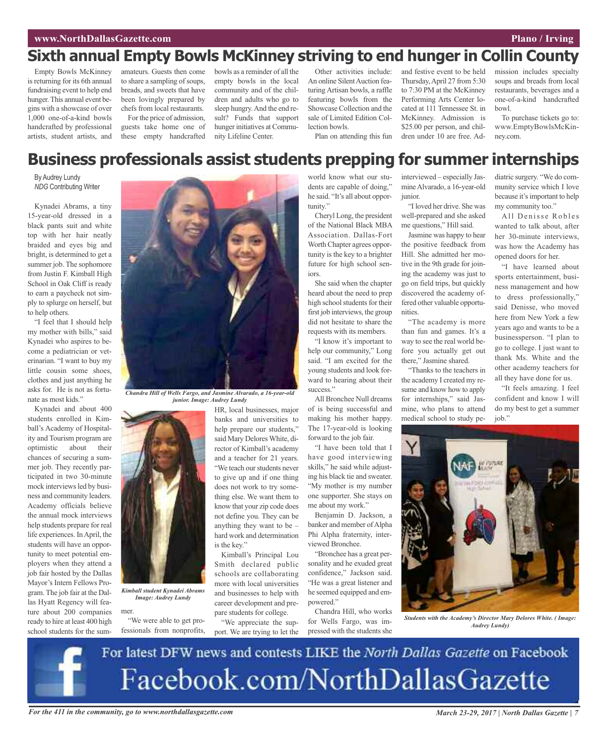## **Sixth annual Empty Bowls McKinney striving to end hunger in Collin County**

Empty Bowls McKinney is returning for its 6th annual fundraising event to help end hunger.This annual event begins with a showcase of over 1,000 one-of-a-kind bowls handcrafted by professional artists, student artists, and

amateurs. Guests then come to share a sampling of soups, breads, and sweets that have been lovingly prepared by chefs from local restaurants. For the price of admission,

guests take home one of these empty handcrafted

bowls as a reminder of all the empty bowls in the local community and of the children and adults who go to sleep hungry. And the end result? Funds that support hunger initiatives at Community Lifeline Center.

Other activities include: An online Silent Auction featuring Artisan bowls, a raffle featuring bowls from the Showcase Collection and the sale of Limited Edition Collection bowls.

Plan on attending this fun

and festive event to be held Thursday,April 27 from 5:30 to 7:30 PM at the McKinney Performing Arts Center located at 111 Tennessee St. in McKinney. Admission is \$25.00 per person, and children under 10 are free. Ad-

mission includes specialty soups and breads from local restaurants, beverages and a one-of-a-kind handcrafted bowl.

To purchase tickets go to: www.EmptyBowlsMcKinney.com.

### **Business professionals assist students prepping for summer internships**

By Audrey Lundy *NDG* Contributing Writer

Kynadei Abrams, a tiny 15-year-old dressed in a black pants suit and white top with her hair neatly braided and eyes big and bright, is determined to get a summer job. The sophomore from Justin F. Kimball High School in Oak Cliff is ready to earn a paycheck not simply to splurge on herself, but to help others.

"I feel that I should help my mother with bills," said Kynadei who aspires to become a pediatrician or veterinarian. "I want to buy my little cousin some shoes, clothes and just anything he asks for. He is not as fortunate as most kids."

Kynadei and about 400 students enrolled in Kimball's Academy of Hospitality and Tourism program are optimistic about their chances of securing a summer job. They recently participated in two 30-minute mock interviews led by business and community leaders. Academy officials believe the annual mock interviews help students prepare for real life experiences. InApril, the students will have an opportunity to meet potential employers when they attend a job fair hosted by the Dallas Mayor's Intern Fellows Program. The job fair at the Dallas Hyatt Regency will feature about 200 companies ready to hire at least 400 high school students for the sum-



HR, local businesses, major *junior. Image: Audrey Lundy*

is the key."

banks and universities to help prepare our students," said Mary Delores White, director of Kimball's academy and a teacher for 21 years. "We teach our students never to give up and if one thing does not work to try something else. We want them to know that your zip code does not define you. They can be anything they want to be – hard work and determination

Kimball's Principal Lou Smith declared public schools are collaborating more with local universities and businesses to help with career development and pre-

*Kimball student Kynadei Abrams Image: Audrey Lundy*

mer. "We were able to get pro-

fessionals from nonprofits, pare students for college. "We appreciate the support. We are trying to let the

world know what our students are capable of doing," he said. "It's all about opportunity."

Cheryl Long, the president of the National Black MBA Association. Dallas-Fort Worth Chapter agrees opportunity is the key to a brighter future for high school seniors.

She said when the chapter heard about the need to prep high school students for their first job interviews, the group did not hesitate to share the requests with its members.

"I know it's important to help our community," Long said. "I am excited for the young students and look forward to hearing about their success."

All Bronchee Null dreams of is being successful and making his mother happy. The 17-year-old is looking forward to the job fair.

"I have been told that I have good interviewing skills," he said while adjusting his black tie and sweater. "My mother is my number one supporter. She stays on me about my work."

Benjamin D. Jackson, a banker and member of Alpha Phi Alpha fraternity, interviewed Bronchee.

"Bronchee has a great personality and he exuded great confidence," Jackson said. "He was a great listener and he seemed equipped and empowered."

Chandra Hill, who works for Wells Fargo, was impressed with the students she

interviewed – especially JasmineAlvarado, a 16-year-old junior.

"I loved her drive. She was well-prepared and she asked me questions," Hill said.

Jasmine was happy to hear the positive feedback from Hill. She admitted her motive in the 9th grade for joining the academy was just to go on field trips, but quickly discovered the academy offered other valuable opportunities.

"The academy is more than fun and games. It's a way to see the real world before you actually get out there," Jasmine shared.

"Thanks to the teachers in the academy I created my resume and know how to apply for internships," said Jasmine, who plans to attend medical school to study pediatric surgery. "We do community service which I love because it's important to help my community too."

All Denisse Robles wanted to talk about, after her 30-minute interviews, was how the Academy has opened doors for her.

"I have learned about sports entertainment, business management and how to dress professionally," said Denisse, who moved here from New York a few years ago and wants to be a businessperson. "I plan to go to college. I just want to thank Ms. White and the other academy teachers for all they have done for us.

"It feels amazing. I feel confident and know I will do my best to get a summer job."



*Students with the Academy's Director Mary Delores White. ( Image: Audrey Lundy)*

For latest DFW news and contests LIKE the North Dallas Gazette on Facebook Facebook.com/NorthDallasGazette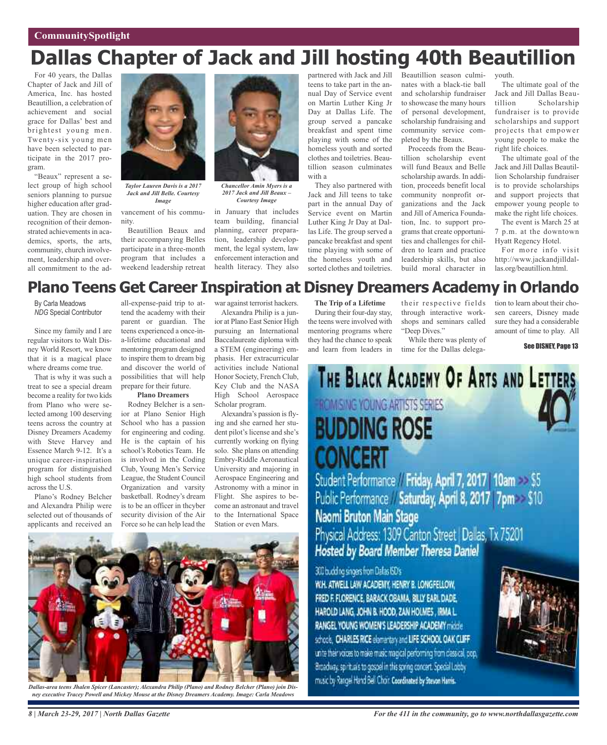# **Dallas Chapter of Jack and Jill hosting 40th Beautillion**

For 40 years, the Dallas Chapter of Jack and Jill of America, Inc. has hosted Beautillion, a celebration of achievement and social grace for Dallas' best and brightest young men. Twenty-six young men have been selected to participate in the 2017 program.

"Beaux" represent a select group of high school seniors planning to pursue higher education after graduation. They are chosen in recognition of their demonstrated achievements in academics, sports, the arts, community, church involvement, leadership and overall commitment to the ad-



*Taylor Lauren Davis is a 2017 Jack and Jill Belle. Courtesy Image*

vancement of his community. Beautillion Beaux and their accompanying Belles participate in a three-month program that includes a weekend leadership retreat



*Chancellor Amin Myers is a 2017 Jack and Jill Beaux – Courtesy Image*

in January that includes team building, financial planning, career preparation, leadership development, the legal system, law enforcement interaction and health literacy. They also partnered with Jack and Jill teens to take part in the annual Day of Service event on Martin Luther King Jr Day at Dallas Life. The group served a pancake breakfast and spent time playing with some of the homeless youth and sorted clothes and toiletries. Beautillion season culminates with a

They also partnered with Jack and Jill teens to take part in the annual Day of Service event on Martin Luther King Jr Day at Dallas Life. The group served a pancake breakfast and spent time playing with some of the homeless youth and sorted clothes and toiletries.

Beautillion season culminates with a black-tie ball and scholarship fundraiser to showcase the many hours of personal development, scholarship fundraising and community service completed by the Beaux.

Proceeds from the Beautillion scholarship event will fund Beaux and Belle scholarship awards. In addition, proceeds benefit local community nonprofit organizations and the Jack and Jill of America Foundation, Inc. to support programs that create opportunities and challenges for children to learn and practice leadership skills, but also build moral character in youth.

The ultimate goal of the Jack and Jill Dallas Beau-Scholarship fundraiser is to provide scholarships and support projects that empower young people to make the right life choices.

The ultimate goal of the Jack and Jill Dallas Beautillion Scholarship fundraiser is to provide scholarships and support projects that empower young people to make the right life choices.

The event is March 25 at 7 p.m. at the downtown Hyatt Regency Hotel.

For more info visit http://www.jackandjilldallas.org/beautillion.html.

### **Plano Teens Get Career Inspiration at Disney Dreamers Academy in Orlando**

By Carla Meadows *NDG* Special Contributor

Since my family and I are regular visitors to Walt Disney World Resort, we know that it is a magical place where dreams come true.

That is why it was such a treat to see a special dream become a reality for two kids from Plano who were selected among 100 deserving teens across the country at Disney Dreamers Academy with Steve Harvey and Essence March 9-12. It's a unique career-inspiration program for distinguished high school students from across the U.S.

Plano's Rodney Belcher and Alexandra Philip were selected out of thousands of applicants and received an

all-expense-paid trip to attend the academy with their parent or guardian. The teens experienced a once-ina-lifetime educational and mentoring program designed to inspire them to dream big and discover the world of possibilities that will help prepare for their future.

#### **Plano Dreamers**

Rodney Belcher is a senior at Plano Senior High School who has a passion for engineering and coding. He is the captain of his school's Robotics Team. He is involved in the Coding Club, Young Men's Service League, the Student Council Organization and varsity basketball. Rodney's dream is to be an officer in thcyber security division of the Air Force so he can help lead the

war against terrorist hackers. Alexandra Philip is a junior at Plano East Senior High pursuing an International Baccalaureate diploma with a STEM (engineering) emphasis. Her extracurricular activities include National Honor Society, French Club, Key Club and the NASA High School Aerospace Scholar program.

Alexandra's passion is flying and she earned her student pilot's license and she's currently working on flying solo. She plans on attending Embry-Riddle Aeronautical University and majoring in Aerospace Engineering and Astronomy with a minor in Flight. She aspires to become an astronaut and travel to the International Space Station or even Mars.



*Dallas-area teens Jhalen Spicer (Lancaster); Alexandra Philip (Plano) and Rodney Belcher (Plano) join Disney executive Tracey Powell and Mickey Mouse at the Disney Dreamers Academy. Image: Carla Meadows*

**The Trip of a Lifetime** During their four-day stay, the teens were involved with

mentoring programs where

their respective fields through interactive workshops and seminars called "Deep Dives."

they had the chance to speak and learn from leaders in While there was plenty of time for the Dallas delega-

tion to learn about their chosen careers, Disney made sure they had a considerable amount of time to play. All

See DISNEY, Page 13



Student Performance / Friday, April 7, 2017 | 10am > \$5 Public Performance Saturday, April 8, 2017 7pm \$10 Naomi Bruton Main Stage Physical Address: 1309 Canton Street | Dallas, Tx 75201 Hosted by Board Member Theresa Daniel

300 budding singers from Dafas ISD's

W.H. ATWELL LAW ACADEMY, HENRY B. LONGFELLOW, FRED F. FLORENCE, BARACK OBAMA, BILLY EARL DADE, HAROLD LANG, JOHN B. HOOD, ZAN HOUNES, IRMA L. RANGEL YOUNG WOMEN'S LEADERSHIP ACADEMY middle schools, CHARLES RICE elementary and LIFE SCHOOL OAK CLIFF. unite their values to make music magical performing from classical, pop, Broadway, spirituals to gospel in this spring concert. Special Looby music by Rangel Hand Bell Choir Coordinated by Stevon Harris.



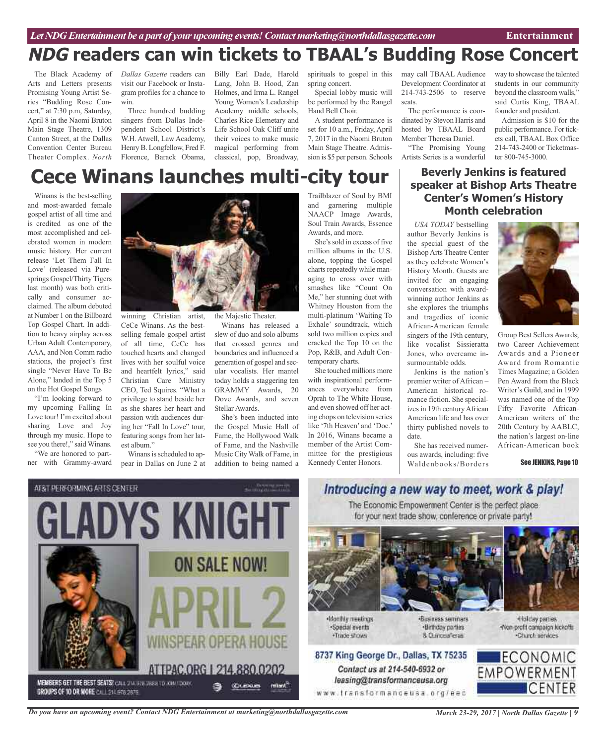# **NDG readers can win tickets to TBAAL's Budding Rose Concert**

The Black Academy of Arts and Letters presents Promising Young Artist Series "Budding Rose Concert," at 7:30 p.m, Saturday, April 8 in the Naomi Bruton Main Stage Theatre, 1309 Canton Street, at the Dallas Convention Center Bureau Theater Complex. *North*

*Dallas Gazette* readers can visit our Facebook or Instagram profiles for a chance to win.

Three hundred budding singers from Dallas Independent School District's W.H. Atwell, Law Academy, Henry B. Longfellow, Fred F. Florence, Barack Obama,

Billy Earl Dade, Harold Lang, John B. Hood, Zan Holmes, and Irma L. Rangel Young Women's Leadership Academy middle schools, Charles Rice Elemetary and Life School Oak Cliff unite their voices to make music magical performing from classical, pop, Broadway,

spirituals to gospel in this spring concert.

Special lobby music will be performed by the Rangel Hand Bell Choir.

A student performance is set for 10 a.m., Friday, April 7, 2017 in the Naomi Bruton Main Stage Theatre. Admission is \$5 per person. Schools

may call TBAAL Audience Development Coordinator at 214-743-2506 to reserve seats.

The performance is coordinated by Stevon Harris and hosted by TBAAL Board Member Theresa Daniel.

"The Promising Young Artists Series is a wonderful

way to showcase the talented students in our community beyond the classroom walls," said Curtis King, TBAAL founder and president.

Admission is \$10 for the public performance. For tickets call, TBAAL Box Office 214-743-2400 or Ticketmaster 800-745-3000.

# **Cece Winans launches multi-city tour**

Winans is the best-selling and most-awarded female gospel artist of all time and is credited as one of the most accomplished and celebrated women in modern music history. Her current release 'Let Them Fall In Love' (released via Puresprings Gospel/Thirty Tigers last month) was both critically and consumer acclaimed. The album debuted at Number 1 on the Billboard Top Gospel Chart. In addition to heavy airplay across Urban Adult Contemporary, AAA, and Non Comm radio stations, the project's first single "Never Have To Be Alone," landed in the Top 5 on the Hot Gospel Songs

"I'm looking forward to my upcoming Falling In Love tour! I'm excited about sharing Love and Joy through my music. Hope to see you there!," said Winans.

"We are honored to partner with Grammy-award



winning Christian artist, CeCe Winans. As the bestselling female gospel artist of all time, CeCe has touched hearts and changed lives with her soulful voice and heartfelt lyrics," said Christian Care Ministry CEO, Ted Squires. "What a privilege to stand beside her as she shares her heart and passion with audiences during her "Fall In Love" tour, featuring songs from her latest album."

Winans is scheduled to appear in Dallas on June 2 at the Majestic Theater.

Winans has released a slew of duo and solo albums that crossed genres and boundaries and influenced a generation of gospel and secular vocalists. Her mantel today holds a staggering ten GRAMMY Awards, 20 Dove Awards, and seven Stellar Awards.

She's been inducted into the Gospel Music Hall of Fame, the Hollywood Walk of Fame, and the Nashville Music City Walk of Fame, in addition to being named a

Trailblazer of Soul by BMI and garnering multiple NAACP Image Awards, Soul Train Awards, Essence Awards, and more.

She's sold in excess of five million albums in the U.S. alone, topping the Gospel charts repeatedly while managing to cross over with smashes like "Count On Me," her stunning duet with Whitney Houston from the multi-platinum 'Waiting To Exhale' soundtrack, which sold two million copies and cracked the Top 10 on the Pop, R&B, and Adult Contemporary charts.

She touched millions more with inspirational performances everywhere from Oprah to The White House, and even showed off her acting chops on television series like '7th Heaven' and 'Doc.' In 2016, Winans became a member of the Artist Committee for the prestigious Kennedy Center Honors.



*USA TODAY* bestselling author Beverly Jenkins is the special guest of the BishopArts Theatre Center as they celebrate Women's History Month. Guests are invited for an engaging conversation with awardwinning author Jenkins as she explores the triumphs and tragedies of iconic African-American female singers of the 19th century, like vocalist Sissieratta Jones, who overcame insurmountable odds.

Jenkins is the nation's premier writer of African – American historical romance fiction. She specializes in 19th century African American life and has over thirty published novels to date.

She has received numerous awards, including: five Waldenbooks/Borders



Group Best SellersAwards; two Career Achievement Awards and a Pioneer Award from Romantic Times Magazine; a Golden Pen Award from the Black Writer's Guild, and in 1999 was named one of the Top Fifty Favorite African-American writers of the 20th Century by AABLC, the nation's largest on-line African-American book

See JENKINS, Page 10



### Introducing a new way to meet, work & play! The Economic Empowerment Center is the perfect place

for your next trade show, conference or private party!



Nonthly meetings ·Special events . Trade shows

Contact us at 214-540-6932 or

leasing@transformanceusa.org

·Business seminars ·Birthday parties 8 Currosafena

«Holday parties. Non-profit compaign kickoffs -Church services



*Do you have an upcoming event? Contact NDG Entertainment at marketing@northdallasgazette.com*

*March 23-29, 2017 | North Dallas Gazette | 9*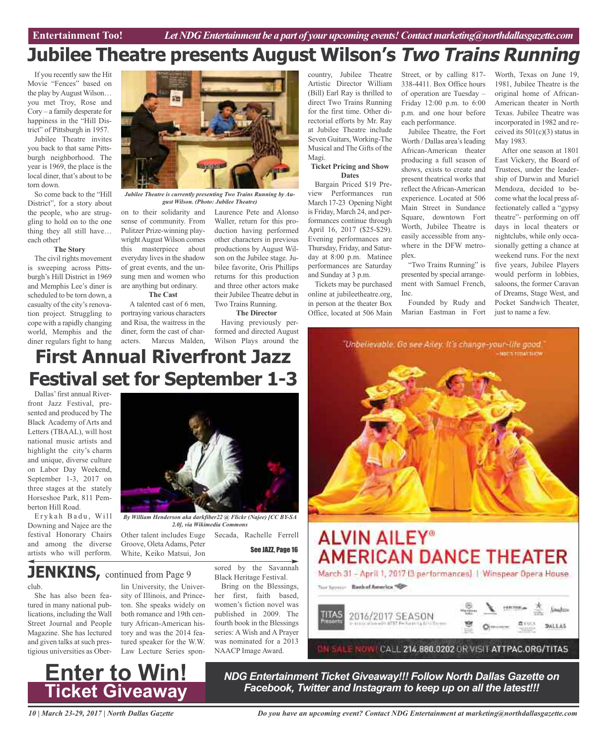# **Jubilee Theatre presents August Wilson's Two Trains Running**

If you recently saw the Hit Movie "Fences" based on the play by August Wilson... you met Troy, Rose and Cory – a family desperate for happiness in the "Hill District" of Pittsburgh in 1957.

Jubilee Theatre invites you back to that same Pittsburgh neighborhood. The year is 1969, the place is the local diner, that's about to be torn down.

So come back to the "Hill District", for a story about the people, who are struggling to hold on to the one thing they all still have… each other!

#### **The Story**

The civil rights movement is sweeping across Pittsburgh's Hill District in 1969 and Memphis Lee's diner is scheduled to be torn down, a casualty of the city's renovation project. Struggling to cope with a rapidly changing world, Memphis and the diner regulars fight to hang



*Jubilee Theatre is currently presenting Two Trains Running by August Wilson. (Photo: Jubilee Theatre)*

on to their solidarity and sense of community. From Pulitzer Prize-winning playwright August Wilson comes this masterpiece about everyday lives in the shadow of great events, and the unsung men and women who are anything but ordinary.

**The Cast** A talented cast of 6 men, portraying various characters and Risa, the waitress in the diner, form the cast of characters. Marcus Malden,

Laurence Pete and Alonso Waller, return for this production having performed other characters in previous productions by August Wilson on the Jubilee stage. Jubilee favorite, Oris Phillips returns for this production and three other actors make their Jubilee Theatre debut in Two Trains Running.

#### **The Director**

Having previously performed and directed August Wilson Plays around the

country, Jubilee Theatre Artistic Director William (Bill) Earl Ray is thrilled to direct Two Trains Running for the first time. Other directorial efforts by Mr. Ray at Jubilee Theatre include Seven Guitars, Working-The Musical and The Gifts of the Magi.

#### **Ticket Pricing and Show Dates**

Bargain Priced \$19 Preview Performances run March 17-23 Opening Night is Friday, March 24, and performances continue through April 16, 2017 (\$25-\$29). Evening performances are Thursday, Friday, and Saturday at 8:00 p.m. Matinee performances are Saturday and Sunday at 3 p.m.

Tickets may be purchased online at jubileetheatre.org, in person at the theater Box Office, located at 506 Main

Street, or by calling 817- 338-4411. Box Office hours of operation are Tuesday – Friday 12:00 p.m. to 6:00 p.m. and one hour before each performance.

Jubilee Theatre, the Fort Worth / Dallas area's leading African-American theater producing a full season of shows, exists to create and present theatrical works that reflect theAfrican-American experience. Located at 506 Main Street in Sundance Square, downtown Fort Worth, Jubilee Theatre is easily accessible from anywhere in the DFW metroplex.

"Two Trains Running" is presented by special arrangement with Samuel French, Inc.

Founded by Rudy and Marian Eastman in Fort

Worth, Texas on June 19, 1981, Jubilee Theatre is the original home of African-American theater in North Texas. Jubilee Theatre was incorporated in 1982 and received its  $501(c)(3)$  status in May 1983.

After one season at 1801 East Vickery, the Board of Trustees, under the leadership of Darwin and Muriel Mendoza, decided to become what the local press affectionately called a "gypsy theatre"- performing on off days in local theaters or nightclubs, while only occasionally getting a chance at weekend runs. For the next five years, Jubilee Players would perform in lobbies, saloons, the former Caravan of Dreams, Stage West, and Pocket Sandwich Theater, just to name a few.



# **First Annual Riverfront Jazz Festival set for September 1-3**

Dallas'first annual Riverfront Jazz Festival, presented and produced by The Black Academy of Arts and Letters (TBAAL), will host national music artists and highlight the city's charm and unique, diverse culture on Labor Day Weekend, September 1-3, 2017 on three stages at the stately Horseshoe Park, 811 Pemberton Hill Road.

Erykah Badu, Will Downing and Najee are the festival Honorary Chairs and among the diverse artists who will perform.



*By William Henderson aka darkfiber22 @ Flickr (Najee) [CC BY-SA 2.0], via Wikimedia Commons*

Other talent includes Euge Groove, Oleta Adams, Peter White, Keiko Matsui, Jon

See JAZZ, Page 16

Secada, Rachelle Ferrell

# **JENKINS**, continued from Page 9

#### club.

She has also been featured in many national publications, including the Wall Street Journal and People Magazine. She has lectured and given talks at such prestigious universities as Ober-

#### lin University, the University of Illinois, and Princeton. She speaks widely on both romance and 19th century African-American history and was the 2014 fea-

tured speaker for the W.W. Law Lecture Series spon-

sored by the Savannah Black Heritage Festival.

Bring on the Blessings, her first, faith based, women's fiction novel was published in 2009. The fourth book in the Blessings series: A Wish and A Prayer was nominated for a 2013 NAACP Image Award.



# **Enter to Win! Ticket Giveaway**

*NDG Entertainment Ticket Giveaway!!! Follow North Dallas Gazette on Facebook, Twitter and Instagram to keep up on all the latest!!!*

*10 | March 23-29, 2017 | North Dallas Gazette*

*Do you have an upcoming event? Contact NDG Entertainment at marketing@northdallasgazette.com*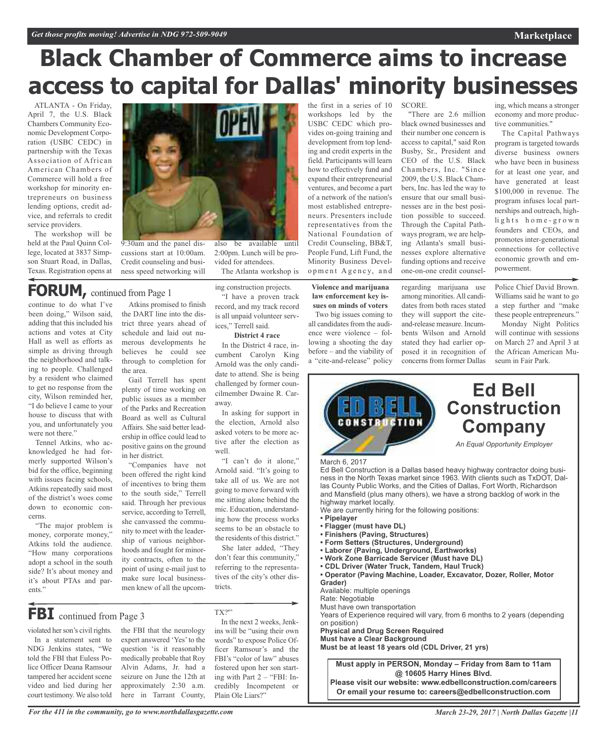# **Black Chamber of Commerce aims to increase access to capital for Dallas' minority businesses**

ATLANTA - On Friday, April 7, the U.S. Black Chambers Community Economic Development Corporation (USBC CEDC) in partnership with the Texas Association of African American Chambers of Commerce will hold a free workshop for minority entrepreneurs on business lending options, credit advice, and referrals to credit service providers.

The workshop will be held at the Paul Quinn College, located at 3837 Simpson Stuart Road, in Dallas, Texas. Registration opens at



2:00pm. Lunch will be provided for attendees.

The Atlanta workshop is

ing construction projects. "I have a proven track record, and my track record is all unpaid volunteer serv-

**District 4 race** In the District 4 race, incumbent Carolyn King Arnold was the only candidate to attend. She is being challenged by former councilmember Dwaine R. Car-

In asking for support in the election, Arnold also asked voters to be more active after the election as

"I can't do it alone," Arnold said. "It's going to take all of us. We are not going to move forward with me sitting alone behind the mic. Education, understanding how the process works seems to be an obstacle to the residents of this district." She later added, "They don't fear this community," referring to the representatives of the city's other dis-

ices," Terrell said.

away.

well.

tricts.

9:30am and the panel discussions start at 10:00am. Credit counseling and business speed networking will

## **FORUM,** continued from Page <sup>1</sup>

continue to do what I've been doing," Wilson said, adding that this included his actions and votes at City Hall as well as efforts as simple as driving through the neighborhood and talking to people. Challenged by a resident who claimed to get no response from the city, Wilson reminded her, "I do believe I came to your house to discuss that with you, and unfortunately you were not there."

Tennel Atkins, who acknowledged he had formerly supported Wilson's bid for the office, beginning with issues facing schools, Atkins repeatedly said most of the district's woes come down to economic concerns.

"The major problem is money, corporate money," Atkins told the audience. "How many corporations adopt a school in the south side? It's about money and it's about PTAs and parents."

Atkins promised to finish the DART line into the district three years ahead of schedule and laid out numerous developments he believes he could see through to completion for the area.

Gail Terrell has spent plenty of time working on public issues as a member of the Parks and Recreation Board as well as Cultural Affairs. She said better leadership in office could lead to positive gains on the ground in her district.

"Companies have not been offered the right kind of incentives to bring them to the south side," Terrell said. Through her previous service, according to Terrell, she canvassed the community to meet with the leadership of various neighborhoods and fought for minority contracts, often to the point of using e-mail just to make sure local businessmen knew of all the upcom-

# **FBI** continued from Page <sup>3</sup>

violated her son's civil rights. In a statement sent to NDG Jenkins states, "We told the FBI that Euless Police Officer Deana Ramsour tampered her accident scene video and lied during her court testimony. We also told

the FBI that the neurology expert answered 'Yes'to the question 'is it reasonably medically probable that Roy Alvin Adams, Jr. had a seizure on June the 12th at approximately 2:30 a.m. here in Tarrant County,

TX?'" In the next 2 weeks, Jenkins will be "using their own words" to expose Police Officer Ramsour's and the FBI's "color of law" abuses fostered upon her son starting with Part 2 – "FBI: Incredibly Incompetent or Plain Ole Liars?"

the first in a series of 10 workshops led by the USBC CEDC which provides on-going training and development from top lending and credit experts in the field. Participants will learn how to effectively fund and expand their entrepreneurial ventures, and become a part of a network of the nation's most established entrepreneurs. Presenters include representatives from the National Foundation of Credit Counseling, BB&T, People Fund, Lift Fund, the Minority Business Development Agency, and

**Violence and marijuana law enforcement key issues on minds of voters**

Two big issues coming to all candidates from the audience were violence – following a shooting the day before – and the viability of a "cite-and-release" policy

SCORE.

"There are 2.6 million black owned businesses and their number one concern is access to capital," said Ron Busby, Sr., President and CEO of the U.S. Black Chambers, Inc. "Since 2009, the U.S. Black Chambers, Inc. has led the way to ensure that our small businesses are in the best position possible to succeed. Through the Capital Pathways program, we are helping Atlanta's small businesses explore alternative funding options and receive one-on-one credit counsel-

powerment.

regarding marijuana use among minorities.All candidates from both races stated they will support the citeand-release measure. Incumbents Wilson and Arnold stated they had earlier opposed it in recognition of concerns from former Dallas

economy and more productive communities." The Capital Pathways

ing, which means a stronger

**Marketplace**

program is targeted towards diverse business owners who have been in business for at least one year, and have generated at least \$100,000 in revenue. The program infuses local partnerships and outreach, highlights home-grown founders and CEOs, and promotes inter-generational connections for collective economic growth and em-

Police Chief David Brown. Williams said he want to go a step further and "make these people entrepreneurs."

Monday Night Politics will continue with sessions on March 27 and April 3 at the African American Museum in Fair Park.



- **• Work Zone Barricade Servicer (Must have DL)**
- **• CDL Driver (Water Truck, Tandem, Haul Truck)**
- **• Operator (Paving Machine, Loader, Excavator, Dozer, Roller, Motor Grader)**
- Available: multiple openings

Rate: Negotiable

Must have own transportation

Years of Experience required will vary, from 6 months to 2 years (depending on position)

**Physical and Drug Screen Required**

**Must have a Clear Background Must be at least 18 years old (CDL Driver, 21 yrs)**

**Must apply in PERSON, Monday – Friday from 8am to 11am @ 10605 Harry Hines Blvd.**

**Please visit our website: www.edbellconstruction.com/careers Or email your resume to: careers@edbellconstruction.com**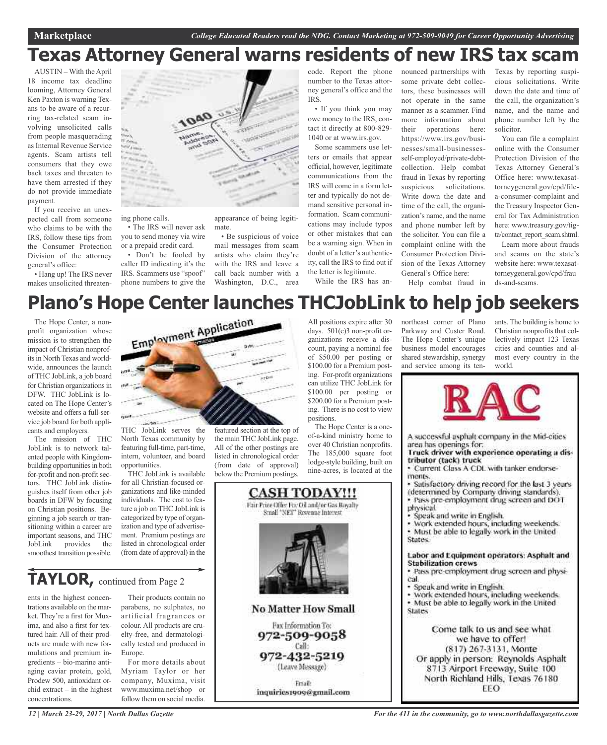# **Texas Attorney General warns residents of new IRS tax scam**

AUSTIN – With the April 18 income tax deadline looming, Attorney General Ken Paxton is warning Texans to be aware of a recurring tax-related scam involving unsolicited calls from people masquerading as Internal Revenue Service agents. Scam artists tell consumers that they owe back taxes and threaten to have them arrested if they do not provide immediate payment.

If you receive an unexpected call from someone who claims to be with the IRS, follow these tips from the Consumer Protection Division of the attorney general's office:

• Hang up! The IRS never makes unsolicited threaten-



ing phone calls.

• The IRS will never ask you to send money via wire or a prepaid credit card.

• Don't be fooled by caller ID indicating it's the IRS. Scammers use "spoof" phone numbers to give the

appearance of being legitimate.

• Be suspicious of voice mail messages from scam artists who claim they're with the IRS and leave a call back number with a Washington, D.C., area

code. Report the phone number to the Texas attorney general's office and the IRS.

• If you think you may owe money to the IRS, contact it directly at 800-829- 1040 or at www.irs.gov.

Some scammers use letters or emails that appear official, however, legitimate communications from the IRS will come in a form letter and typically do not demand sensitive personal information. Scam communications may include typos or other mistakes that can be a warning sign. When in doubt of a letter's authenticity, call the IRS to find out if the letter is legitimate. While the IRS has an-

nounced partnerships with some private debt collectors, these businesses will not operate in the same manner as a scammer. Find more information about their operations here: https://www.irs.gov/businesses/small-businessesself-employed/private-debtcollection. Help combat fraud in Texas by reporting suspicious solicitations. Write down the date and time of the call, the organization's name, and the name and phone number left by the solicitor. You can file a complaint online with the Consumer Protection Division of the Texas Attorney General's Office here: Help combat fraud in

Texas by reporting suspicious solicitations. Write down the date and time of the call, the organization's name, and the name and phone number left by the solicitor.

You can file a complaint online with the Consumer Protection Division of the Texas Attorney General's Office here: www.texasattorneygeneral.gov/cpd/filea-consumer-complaint and the Treasury Inspector General for Tax Administration here: www.treasury.gov/tigta/contact\_report\_scam.shtml.

Learn more about frauds and scams on the state's website here: www.texasattorneygeneral.gov/cpd/frau ds-and-scams.

# **Plano's Hope Center launches THCJobLink to help job seekers**

The Hope Center, a nonprofit organization whose mission is to strengthen the impact of Christian nonprofits in North Texas and worldwide, announces the launch of THC JobLink, a job board for Christian organizations in DFW. THC JobLink is located on The Hope Center's website and offers a full-service job board for both applicants and employers.

The mission of THC JobLink is to network talented people with Kingdombuilding opportunities in both for-profit and non-profit sectors. THC JobLink distinguishes itself from other job boards in DFW by focusing on Christian positions. Beginning a job search or transitioning within a career are important seasons, and THC JobLink provides the smoothest transition possible.



North Texas community by featuring full-time, part-time, intern, volunteer, and board opportunities.

THC JobLink is available for all Christian-focused organizations and like-minded individuals. The cost to feature a job on THC JobLink is categorized by type of organization and type of advertisement. Premium postings are listed in chronological order (from date of approval) in the

## **TAYLOR,** continued from Page <sup>2</sup>

ents in the highest concentrations available on the market. They're a first for Muxima, and also a first for textured hair. All of their products are made with new formulations and premium ingredients – bio-marine antiaging caviar protein, gold, Prodew 500, antioxidant orchid extract – in the highest concentrations.

Their products contain no parabens, no sulphates, no artificial fragrances or colour. All products are cruelty-free, and dermatologically tested and produced in Europe.

For more details about Myriam Taylor or her company, Muxima, visit www.muxima.net/shop or follow them on social media.

featured section at the top of the main THC JobLink page. All of the other postings are listed in chronological order (from date of approval) below the Premium postings.

All positions expire after 30 days.  $501(c)3$  non-profit organizations receive a discount, paying a nominal fee of \$50.00 per posting or \$100.00 for a Premium posting. For-profit organizations can utilize THC JobLink for \$100.00 per posting or \$200.00 for a Premium posting. There is no cost to view positions.

The Hope Center is a oneof-a-kind ministry home to over 40 Christian nonprofits. The 185,000 square foot lodge-style building, built on nine-acres, is located at the



northeast corner of Plano Parkway and Custer Road. The Hope Center's unique business model encourages shared stewardship, synergy and service among its tenants. The building is home to Christian nonprofits that collectively impact 123 Texas cities and counties and almost every country in the world.



A successful asphalt company in the Mid-cities area has openings for.

#### Truck driver with experience operating a distributor (tack) truck

· Current Class A CDL with tanker endorsements.

Satisfactory driving record for the last 3 years (determined by Company driving standards).<br>• Pass pre-employment drug screen and DOT

physical.

Speak and write in English.

· Work extended hours, including weekends.

· Must be able to legally work in the United States.

#### Labor and Equipment operators: Asphalt and **Stabilization crews**

· Pass pre-employment drug screen and physical.

· Speak and write in English.

· Work extended hours, including weekends. . Must be able to legally work in the United **States** 

Come talk to us and see what we have to offer! (817) 267-3131, Monte Or apply in person: Reynolds Asphalt 8713 Airport Freeway, Suite 100 North Richland Hills, Texas 76180 EEO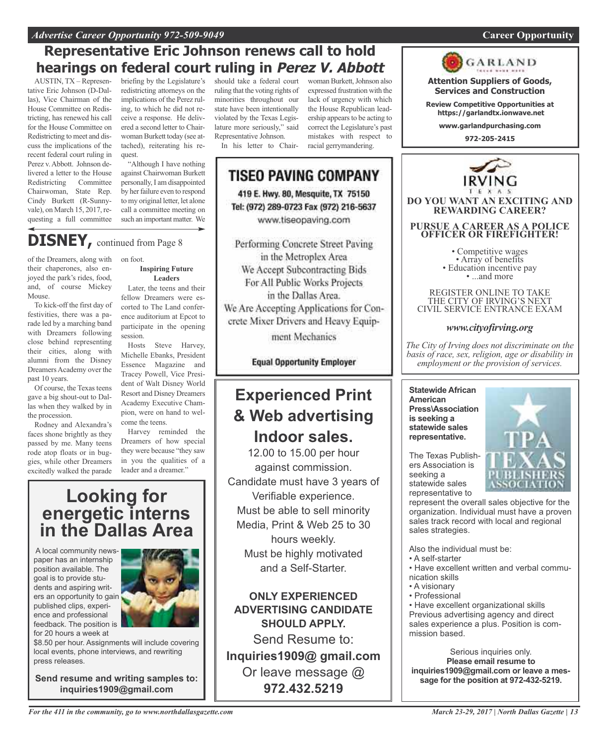#### *Advertise Career Opportunity 972-509-9049* **Career Opportunity**

### **Representative Eric Johnson renews call to hold hearings on federal court ruling in Perez V. Abbott**

AUSTIN, TX – Representative Eric Johnson (D-Dallas), Vice Chairman of the House Committee on Redistricting, has renewed his call for the House Committee on Redistricting to meet and discuss the implications of the recent federal court ruling in Perez v.Abbott. Johnson delivered a letter to the House Redistricting Committee Chairwoman, State Rep. Cindy Burkett (R-Sunnyvale), on March 15, 2017, requesting a full committee

briefing by the Legislature's redistricting attorneys on the implications of the Perez ruling, to which he did not receive a response. He delivered a second letter to Chairwoman Burkett today (see attached), reiterating his request.

"Although I have nothing against Chairwoman Burkett personally, I am disappointed by her failure even to respond to my original letter, let alone call a committee meeting on such an important matter. We

# **DISNEY,** continued from Page <sup>8</sup>

of the Dreamers, along with their chaperones, also enjoyed the park's rides, food, and, of course Mickey Mouse.

To kick-off the first day of festivities, there was a parade led by a marching band with Dreamers following close behind representing their cities, along with alumni from the Disney Dreamers Academy over the past 10 years.

Of course, the Texas teens gave a big shout-out to Dallas when they walked by in the procession.

Rodney and Alexandra's faces shone brightly as they passed by me. Many teens rode atop floats or in buggies, while other Dreamers excitedly walked the parade on foot.

#### **Inspiring Future Leaders**

Later, the teens and their fellow Dreamers were escorted to The Land conference auditorium at Epcot to participate in the opening session.

Hosts Steve Harvey, Michelle Ebanks, President Essence Magazine and Tracey Powell, Vice President of Walt Disney World Resort and Disney Dreamers Academy Executive Champion, were on hand to welcome the teens.

Harvey reminded the Dreamers of how special they were because "they saw in you the qualities of a leader and a dreamer."

### **Looking for energetic interns in the Dallas Area**

A local community newspaper has an internship position available. The goal is to provide students and aspiring writers an opportunity to gain published clips, experience and professional feedback. The position is for 20 hours a week at



\$8.50 per hour. Assignments will include covering local events, phone interviews, and rewriting press releases.

**Send resume and writing samples to: inquiries1909@gmail.com**

should take a federal court ruling that the voting rights of minorities throughout our state have been intentionally violated by the Texas Legislature more seriously," said Representative Johnson. In his letter to Chairwoman Burkett, Johnson also expressed frustration with the lack of urgency with which the House Republican leadership appears to be acting to correct the Legislature's past mistakes with respect to racial gerrymandering.

**TISEO PAVING COMPANY** 419 E. Hwy. 80, Mesquite, TX 75150 Tel: (972) 289-0723 Fax (972) 216-5637 www.tiseopaving.com

Performing Concrete Street Paving in the Metroplex Area We Accept Subcontracting Bids For All Public Works Projects in the Dallas Area. We Are Accepting Applications for Concrete Mixer Drivers and Heavy Equipment Mechanics

**Equal Opportunity Employer** 

### **Experienced Print & Web advertising Indoor sales.**

12.00 to 15.00 per hour against commission. Candidate must have 3 years of Verifiable experience. Must be able to sell minority Media, Print & Web 25 to 30 hours weekly. Must be highly motivated and a Self-Starter.

**ONLY EXPERIENCED ADVERTISING CANDIDATE SHOULD APPLY.**

Send Resume to: **Inquiries1909@ gmail.com** Or leave message @ **972.432.5219**



**Attention Suppliers of Goods, Services and Construction**

**Review Competitive Opportunities at https://garlandtx.ionwave.net**

**www.garlandpurchasing.com**

**972-205-2415**



REGISTER ONLINE TO TAKE THE CITY OF IRVING'S NEXT CIVIL SERVICE ENTRANCE EXAM

### *www.cityofirving.org*

*The City of Irving does not discriminate on the basis of race, sex, religion, age or disability in employment or the provision of services.*

**Statewide African American Press\Association is seeking a statewide sales representative.**



The Texas Publishers Association is seeking a statewide sales representative to

represent the overall sales objective for the organization. Individual must have a proven sales track record with local and regional sales strategies.

Also the individual must be:

- A self-starter
- Have excellent written and verbal communication skills
- A visionary
- Professional

• Have excellent organizational skills Previous advertising agency and direct sales experience a plus. Position is commission based.

Serious inquiries only. **Please email resume to inquiries1909@gmail.com or leave a message for the position at 972-432-5219.**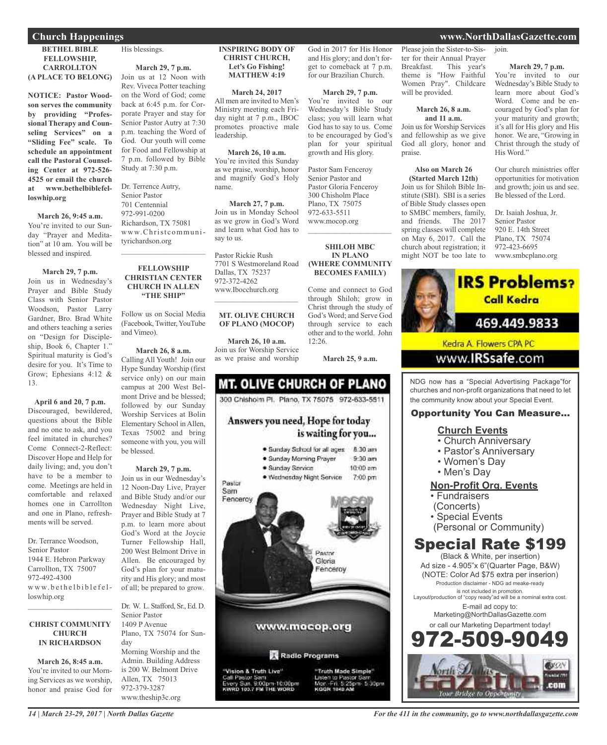#### **Church Happenings www.NorthDallasGazette.com**

#### **BETHEL BIBLE FELLOWSHIP, CARROLLTON (A PLACE TO BELONG)**

**NOTICE: Pastor Woodson serves the community by providing "Professional Therapy and Counseling Services" on a "Sliding Fee" scale. To schedule an appointment call the Pastoral Counseling Center at 972-526- 4525 or email the church at www.bethelbiblefelloswhip.org**

#### **March 26, 9:45 a.m.**

You're invited to our Sunday "Prayer and Meditation" at 10 am. You will be blessed and inspired.

#### **March 29, 7 p.m.**

Join us in Wednesday's Prayer and Bible Study Class with Senior Pastor Woodson, Pastor Larry Gardner, Bro. Brad White and others teaching a series on "Design for Discipleship, Book 6, Chapter 1." Spiritual maturity is God's desire for you. It's Time to Grow; Ephesians 4:12 & 13.

**April 6 and 20, 7 p.m.** Discouraged, bewildered, questions about the Bible and no one to ask, and you feel imitated in churches? Come Connect-2-Reflect: Discover Hope and Help for daily living; and, you don't have to be a member to come. Meetings are held in comfortable and relaxed homes one in Carrollton and one in Plano, refreshments will be served.

Dr. Terrance Woodson, Senior Pastor 1944 E. Hebron Parkway Carrollton, TX 75007 972-492-4300 www.bethelbiblefelloswhip.org

#### **CHRIST COMMUNITY CHURCH IN RICHARDSON**

 $\mathcal{L}_\text{max}$  and  $\mathcal{L}_\text{max}$  and  $\mathcal{L}_\text{max}$ 

**March 26, 8:45 a.m.** You're invited to our Morning Services as we worship, honor and praise God for

His blessings.

#### **March 29, 7 p.m.** Join us at 12 Noon with Rev. Viveca Potter teaching on the Word of God; come back at 6:45 p.m. for Corporate Prayer and stay for Senior Pastor Autry at 7:30

p.m. teaching the Word of God. Our youth will come for Food and Fellowship at 7 p.m. followed by Bible Study at 7:30 p.m.

Dr. Terrence Autry, Senior Pastor 701 Centennial 972-991-0200 Richardson, TX 75081 www.Christcommunityrichardson.org

#### **FELLOWSHIP CHRISTIAN CENTER CHURCH IN ALLEN "THE SHIP"**

 $\mathcal{L}_\text{max}$  , which is a set of the set of the set of the set of the set of the set of the set of the set of the set of the set of the set of the set of the set of the set of the set of the set of the set of the set of

Follow us on Social Media (Facebook, Twitter,YouTube and Vimeo).

#### **March 26, 8 a.m.** Calling All Youth! Join our Hype Sunday Worship (first service only) on our main campus at 200 West Belmont Drive and be blessed; followed by our Sunday Worship Services at Bolin Elementary School in Allen, Texas 75002 and bring someone with you, you will be blessed.

#### **March 29, 7 p.m.**

Join us in our Wednesday's 12 Noon-Day Live, Prayer and Bible Study and/or our Wednesday Night Live, Prayer and Bible Study at 7 p.m. to learn more about God's Word at the Joycie Turner Fellowship Hall, 200 West Belmont Drive in Allen. Be encouraged by God's plan for your maturity and His glory; and most of all; be prepared to grow.

Dr. W. L. Stafford, Sr., Ed. D. Senior Pastor 1409 P Avenue Plano, TX 75074 for Sunday Morning Worship and the Admin. Building Address is 200 W. Belmont Drive Allen, TX 75013 972-379-3287 www.theship3c.org

#### **INSPIRING BODY OF CHRIST CHURCH, Let's Go Fishing! MATTHEW 4:19**

God in 2017 for His Honor and His glory; and don't forget to comeback at 7 p.m. for our Brazilian Church.

**March 29, 7 p.m.** You're invited to our Wednesday's Bible Study class; you will learn what God has to say to us. Come to be encouraged by God's plan for your spiritual growth and His glory.

Pastor Sam Fenceroy Senior Pastor and Pastor Gloria Fenceroy 300 Chisholm Place Plano, TX 75075 972-633-5511 www.mocop.org

 $\overline{\phantom{a}}$  , and the set of the set of the set of the set of the set of the set of the set of the set of the set of the set of the set of the set of the set of the set of the set of the set of the set of the set of the s

**SHILOH MBC IN PLANO (WHERE COMMUNITY BECOMES FAMILY)**

Come and connect to God through Shiloh; grow in Christ through the study of God's Word; and Serve God through service to each other and to the world. John

**March 25, 9 a.m.**

 $12:26$ 

#### **March 24, 2017** All men are invited to Men's Ministry meeting each Friday night at 7 p.m., IBOC promotes proactive male leadership.

**March 26, 10 a.m.** You're invited this Sunday

as we praise, worship, honor and magnify God's Holy name.

#### **March 27, 7 p.m.** Join us in Monday School as we grow in God's Word and learn what God has to say to us.

Pastor Rickie Rush 7701 S Westmoreland Road Dallas, TX 75237 972-372-4262 www.Ibocchurch.org  $\overline{\phantom{a}}$  , and the set of the set of the set of the set of the set of the set of the set of the set of the set of the set of the set of the set of the set of the set of the set of the set of the set of the set of the s

#### **MT. OLIVE CHURCH OF PLANO (MOCOP)**

**March 26, 10 a.m.** Join us for Worship Service as we praise and worship



Please join the Sister-to-Sister for their Annual Prayer Breakfast. This year's theme is "How Faithful Women Pray". Childcare will be provided.

#### **March 26, 8 a.m. and 11 a.m.**

Join us for Worship Services and fellowship as we give God all glory, honor and praise.

**Also on March 26 (Started March 12th)**

Join us for Shiloh Bible Institute (SBI). SBI is a series of Bible Study classes open to SMBC members, family, and friends. The 2017 spring classes will complete on May 6, 2017. Call the church about registration; it might NOT be too late to

#### join.

**March 29, 7 p.m.** You're invited to our Wednesday's Bible Study to learn more about God's Word. Come and be encouraged by God's plan for your maturity and growth; it's all for His glory and His honor. We are, "Growing in Christ through the study of His Word."

Our church ministries offer opportunities for motivation and growth; join us and see. Be blessed of the Lord.

Dr. Isaiah Joshua, Jr. Senior Pastor 920 E. 14th Street Plano, TX 75074 972-423-6695 www.smbcplano.org



NDG now has a "Special Advertising Package"for churches and non-profit organizations that need to let the community know about your Special Event.

#### Opportunity You Can Measure...

#### **Church Events**

- Church Anniversary
- Pastor's Anniversary
- Women's Day
- Men's Day

#### **Non-Profit Org. Events**

- Fundraisers
- (Concerts)
- Special Events
- (Personal or Community)

### Special Rate \$199

(Black & White, per insertion) Ad size - 4.905"x 6"(Quarter Page, B&W) (NOTE: Color Ad \$75 extra per inserion) Production disclaimer - NDG ad meake-ready is not included in promotion. Layout/production of "copy ready"ad will be a nominal extra cost. E-mail ad copy to: Marketing@NorthDallasGazette.com or call our Marketing Department today! -509-9



*14 | March 23-29, 2017 | North Dallas Gazette*

#### *For the 411 in the community, go to www.northdallasgazette.com*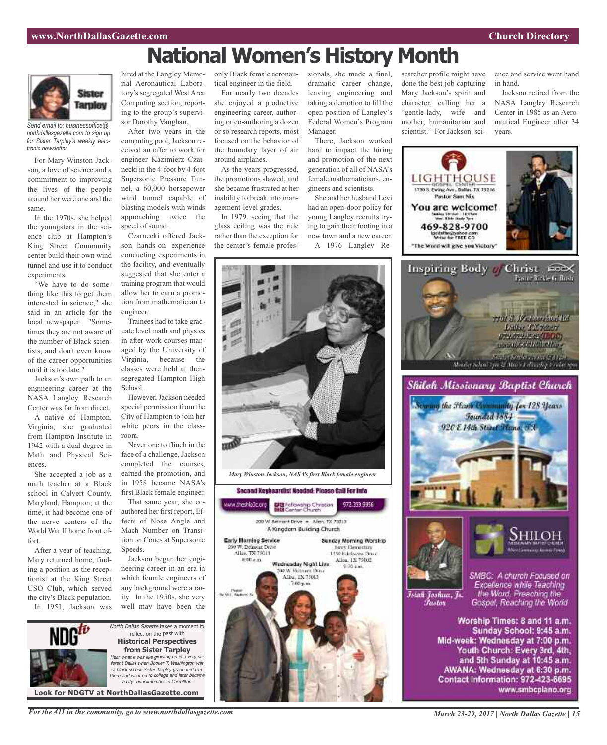# **National Women's History Month**



*Send email to: businessoffice@ northdallasgazette.com to sign up for Sister Tarpley's weekly electronic newsletter.*

For Mary Winston Jackson, a love of science and a commitment to improving the lives of the people around her were one and the same.

In the 1970s, she helped the youngsters in the science club at Hampton's King Street Community center build their own wind tunnel and use it to conduct experiments.

"We have to do something like this to get them interested in science," she said in an article for the local newspaper. "Sometimes they are not aware of the number of Black scientists, and don't even know of the career opportunities until it is too late."

Jackson's own path to an engineering career at the NASA Langley Research Center was far from direct.

A native of Hampton, Virginia, she graduated from Hampton Institute in 1942 with a dual degree in Math and Physical Sciences.

She accepted a job as a math teacher at a Black school in Calvert County, Maryland. Hampton; at the time, it had become one of the nerve centers of the World War II home front effort.

After a year of teaching, Mary returned home, finding a position as the receptionist at the King Street USO Club, which served the city's Black population. In 1951, Jackson was hired at the Langley Memorial Aeronautical Laboratory's segregated West Area Computing section, reporting to the group's supervisor Dorothy Vaughan.

After two years in the computing pool, Jackson received an offer to work for engineer Kazimierz Czarnecki in the 4-foot by 4-foot Supersonic Pressure Tunnel, a 60,000 horsepower wind tunnel capable of blasting models with winds approaching twice the speed of sound.

Czarnecki offered Jackson hands-on experience conducting experiments in the facility, and eventually suggested that she enter a training program that would allow her to earn a promotion from mathematician to engineer.

Trainees had to take graduate level math and physics in after-work courses managed by the University of Virginia, because the classes were held at thensegregated Hampton High School.

However, Jackson needed special permission from the City of Hampton to join her white peers in the classroom.

Never one to flinch in the face of a challenge, Jackson completed the courses, earned the promotion, and in 1958 became NASA's first Black female engineer.

That same year, she coauthored her first report, Effects of Nose Angle and Mach Number on Transition on Cones at Supersonic Speeds.

Jackson began her engineering career in an era in which female engineers of any background were a rarity. In the 1950s, she very well may have been the



*For the 411 in the community, go to www.northdallasgazette.com*

only Black female aeronautical engineer in the field.

For nearly two decades she enjoyed a productive engineering career, authoring or co-authoring a dozen or so research reports, most focused on the behavior of the boundary layer of air around airplanes.

As the years progressed, the promotions slowed, and she became frustrated at her inability to break into management-level grades.

In 1979, seeing that the glass ceiling was the rule rather than the exception for the center's female professionals, she made a final, dramatic career change, leaving engineering and taking a demotion to fill the open position of Langley's Federal Women's Program Manager.

There, Jackson worked hard to impact the hiring and promotion of the next generation of all of NASA's female mathematicians, engineers and scientists.

She and her husband Levi had an open-door policy for young Langley recruits trying to gain their footing in a new town and a new career. A 1976 Langley Re-

searcher profile might have done the best job capturing Mary Jackson's spirit and character, calling her a "gentle-lady, wife and mother, humanitarian and scientist." For Jackson, sci-

ence and service went hand in hand.

Jackson retired from the NASA Langley Research Center in 1985 as an Aeronautical Engineer after 34 years.





 $7.00~\text{p}$ .n